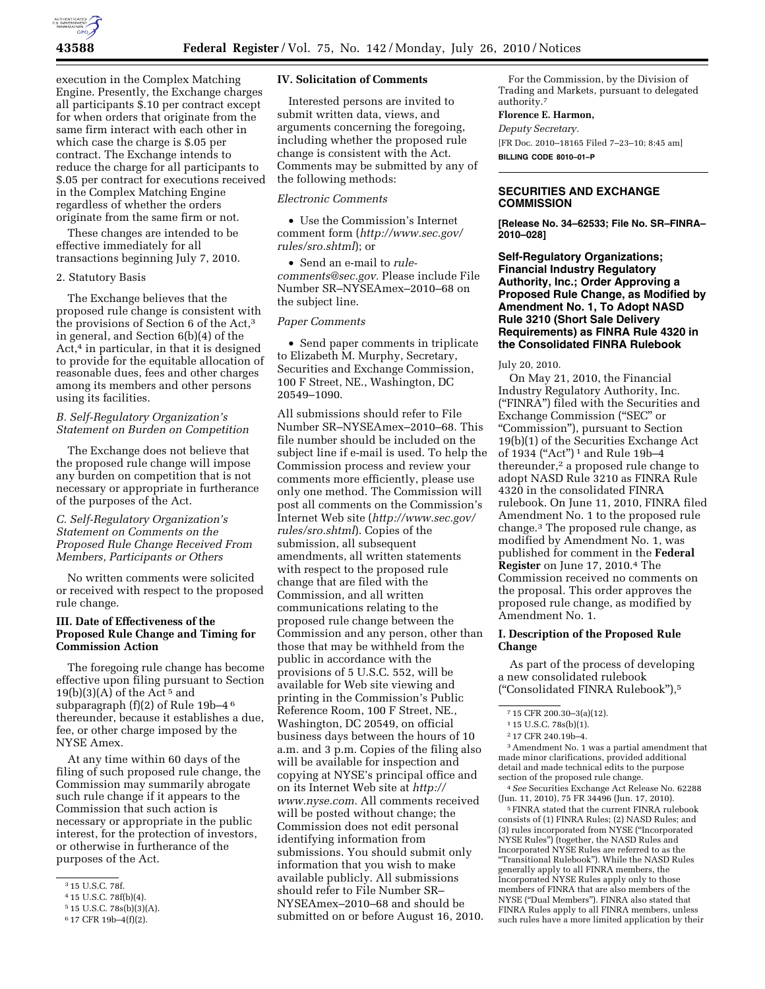

execution in the Complex Matching Engine. Presently, the Exchange charges all participants \$.10 per contract except for when orders that originate from the same firm interact with each other in which case the charge is \$.05 per contract. The Exchange intends to reduce the charge for all participants to \$.05 per contract for executions received in the Complex Matching Engine regardless of whether the orders originate from the same firm or not.

These changes are intended to be effective immediately for all transactions beginning July 7, 2010.

#### 2. Statutory Basis

The Exchange believes that the proposed rule change is consistent with the provisions of Section 6 of the Act,<sup>3</sup> in general, and Section 6(b)(4) of the Act,4 in particular, in that it is designed to provide for the equitable allocation of reasonable dues, fees and other charges among its members and other persons using its facilities.

### *B. Self-Regulatory Organization's Statement on Burden on Competition*

The Exchange does not believe that the proposed rule change will impose any burden on competition that is not necessary or appropriate in furtherance of the purposes of the Act.

## *C. Self-Regulatory Organization's Statement on Comments on the Proposed Rule Change Received From Members, Participants or Others*

No written comments were solicited or received with respect to the proposed rule change.

## **III. Date of Effectiveness of the Proposed Rule Change and Timing for Commission Action**

The foregoing rule change has become effective upon filing pursuant to Section  $19(b)(3)(A)$  of the Act<sup>5</sup> and subparagraph  $(f)(2)$  of Rule 19b-4<sup>6</sup> thereunder, because it establishes a due, fee, or other charge imposed by the NYSE Amex.

At any time within 60 days of the filing of such proposed rule change, the Commission may summarily abrogate such rule change if it appears to the Commission that such action is necessary or appropriate in the public interest, for the protection of investors, or otherwise in furtherance of the purposes of the Act.

#### **IV. Solicitation of Comments**

Interested persons are invited to submit written data, views, and arguments concerning the foregoing, including whether the proposed rule change is consistent with the Act. Comments may be submitted by any of the following methods:

# *Electronic Comments*

• Use the Commission's Internet comment form (*[http://www.sec.gov/](http://www.sec.gov/rules/sro.shtml)  [rules/sro.shtml](http://www.sec.gov/rules/sro.shtml)*); or

• Send an e-mail to *[rule](mailto:rule-comments@sec.gov)[comments@sec.gov.](mailto:rule-comments@sec.gov)* Please include File Number SR–NYSEAmex–2010–68 on the subject line.

### *Paper Comments*

• Send paper comments in triplicate to Elizabeth M. Murphy, Secretary, Securities and Exchange Commission, 100 F Street, NE., Washington, DC 20549–1090.

All submissions should refer to File Number SR–NYSEAmex–2010–68. This file number should be included on the subject line if e-mail is used. To help the Commission process and review your comments more efficiently, please use only one method. The Commission will post all comments on the Commission's Internet Web site (*[http://www.sec.gov/](http://www.sec.gov/rules/sro.shtml)  [rules/sro.shtml](http://www.sec.gov/rules/sro.shtml)*). Copies of the submission, all subsequent amendments, all written statements with respect to the proposed rule change that are filed with the Commission, and all written communications relating to the proposed rule change between the Commission and any person, other than those that may be withheld from the public in accordance with the provisions of 5 U.S.C. 552, will be available for Web site viewing and printing in the Commission's Public Reference Room, 100 F Street, NE., Washington, DC 20549, on official business days between the hours of 10 a.m. and 3 p.m. Copies of the filing also will be available for inspection and copying at NYSE's principal office and on its Internet Web site at *[http://](http://www.nyse.com)  [www.nyse.com.](http://www.nyse.com)* All comments received will be posted without change; the Commission does not edit personal identifying information from submissions. You should submit only information that you wish to make available publicly. All submissions should refer to File Number SR– NYSEAmex–2010–68 and should be submitted on or before August 16, 2010.

For the Commission, by the Division of Trading and Markets, pursuant to delegated authority.7

#### **Florence E. Harmon,**

*Deputy Secretary.*  [FR Doc. 2010–18165 Filed 7–23–10; 8:45 am]

# **SECURITIES AND EXCHANGE COMMISSION**

**[Release No. 34–62533; File No. SR–FINRA– 2010–028]** 

**Self-Regulatory Organizations; Financial Industry Regulatory Authority, Inc.; Order Approving a Proposed Rule Change, as Modified by Amendment No. 1, To Adopt NASD Rule 3210 (Short Sale Delivery Requirements) as FINRA Rule 4320 in the Consolidated FINRA Rulebook** 

#### July 20, 2010.

On May 21, 2010, the Financial Industry Regulatory Authority, Inc. (''FINRA'') filed with the Securities and Exchange Commission (''SEC'' or ''Commission''), pursuant to Section 19(b)(1) of the Securities Exchange Act of 1934 ("Act")<sup>1</sup> and Rule 19b-4 thereunder,<sup>2</sup> a proposed rule change to adopt NASD Rule 3210 as FINRA Rule 4320 in the consolidated FINRA rulebook. On June 11, 2010, FINRA filed Amendment No. 1 to the proposed rule change.3 The proposed rule change, as modified by Amendment No. 1, was published for comment in the **Federal Register** on June 17, 2010.4 The Commission received no comments on the proposal. This order approves the proposed rule change, as modified by Amendment No. 1.

## **I. Description of the Proposed Rule Change**

As part of the process of developing a new consolidated rulebook (''Consolidated FINRA Rulebook''),5

3Amendment No. 1 was a partial amendment that made minor clarifications, provided additional detail and made technical edits to the purpose section of the proposed rule change.

4*See* Securities Exchange Act Release No. 62288 (Jun. 11, 2010), 75 FR 34496 (Jun. 17, 2010).

5FINRA stated that the current FINRA rulebook consists of (1) FINRA Rules; (2) NASD Rules; and (3) rules incorporated from NYSE (''Incorporated NYSE Rules'') (together, the NASD Rules and Incorporated NYSE Rules are referred to as the ''Transitional Rulebook''). While the NASD Rules generally apply to all FINRA members, the Incorporated NYSE Rules apply only to those members of FINRA that are also members of the NYSE (''Dual Members''). FINRA also stated that FINRA Rules apply to all FINRA members, unless such rules have a more limited application by their

<sup>3</sup> 15 U.S.C. 78f.

<sup>4</sup> 15 U.S.C. 78f(b)(4).

<sup>5</sup> 15 U.S.C. 78s(b)(3)(A).

<sup>6</sup> 17 CFR 19b–4(f)(2).

**BILLING CODE 8010–01–P** 

<sup>7</sup> 15 CFR 200.30–3(a)(12).

<sup>1</sup> 15 U.S.C. 78s(b)(1).

<sup>2</sup> 17 CFR 240.19b–4.